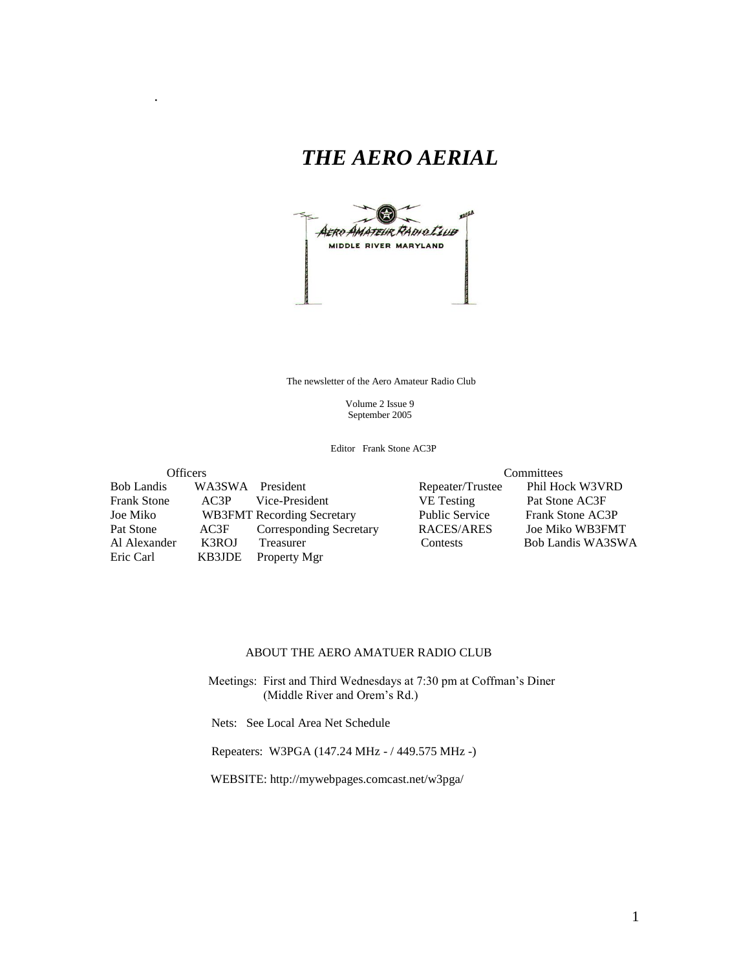# *THE AERO AERIAL*

.



The newsletter of the Aero Amateur Radio Club

 Volume 2 Issue 9 September 2005

Editor Frank Stone AC3P

Officers<br>
Officers<br>
Officers<br>
Officers<br>
Officers<br>
Officers<br>
Officers<br>
Officers<br>
Officers<br>
Officers<br>
Officers<br>
Officers<br>
Officers<br>
Officers<br>
Officers<br>
Officers<br>
Officers<br>
Officers<br>
Officers<br>
Officers<br>
Officers<br>
Officers<br>
Of WA3SWA President Repeater/Trustee Frank Stone AC3P Vice-President VE Testing Pat Stone AC3F Joe Miko WB3FMT Recording Secretary Public Service Frank Stone AC3P Pat Stone AC3F Corresponding Secretary RACES/ARES Al Alexander K3ROJ Treasurer Contests Bob Landis WA3SWA Eric Carl KB3JDE Property Mgr

#### ABOUT THE AERO AMATUER RADIO CLUB

 Meetings: First and Third Wednesdays at 7:30 pm at Coffman's Diner (Middle River and Orem's Rd.)

Nets: See Local Area Net Schedule

Repeaters: W3PGA (147.24 MHz - / 449.575 MHz -)

WEBSITE: http://mywebpages.comcast.net/w3pga/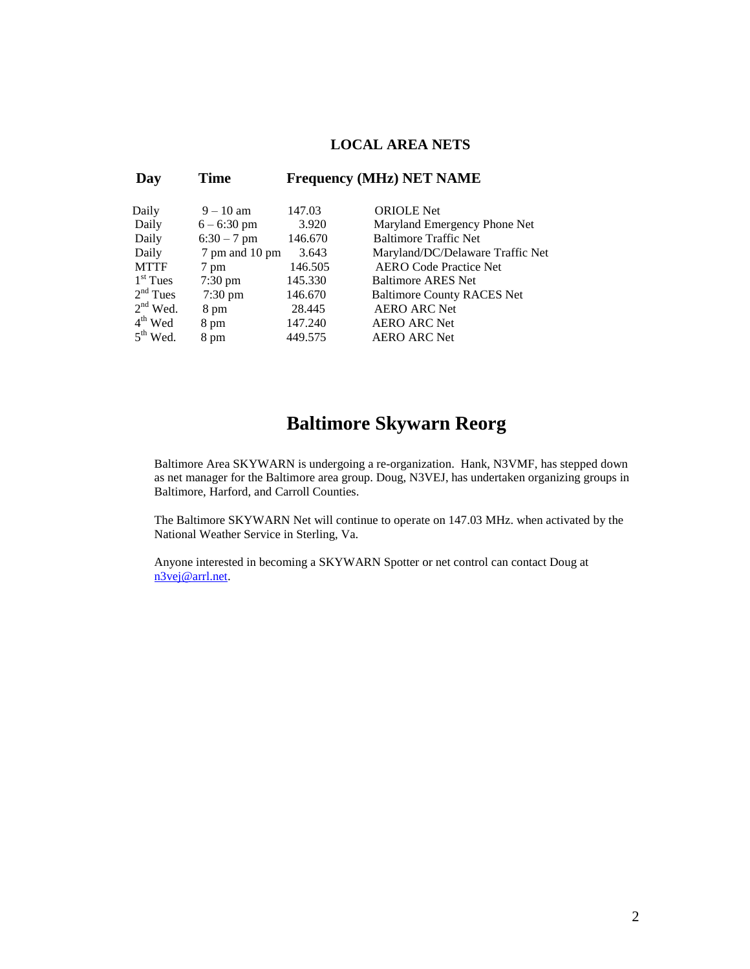#### **LOCAL AREA NETS**

| Day         | <b>Time</b>       |         | <b>Frequency (MHz) NET NAME</b>   |
|-------------|-------------------|---------|-----------------------------------|
| Daily       | $9 - 10$ am       | 147.03  | <b>ORIOLE</b> Net                 |
| Daily       | $6 - 6:30$ pm     | 3.920   | Maryland Emergency Phone Net      |
| Daily       | $6:30 - 7$ pm     | 146.670 | <b>Baltimore Traffic Net</b>      |
| Daily       | 7 pm and 10 pm    | 3.643   | Maryland/DC/Delaware Traffic Net  |
| <b>MTTF</b> | 7 pm              | 146.505 | <b>AERO</b> Code Practice Net     |
| $1st$ Tues  | $7:30 \text{ pm}$ | 145.330 | <b>Baltimore ARES Net</b>         |
| $2nd$ Tues  | $7:30 \text{ pm}$ | 146.670 | <b>Baltimore County RACES Net</b> |
| $2nd$ Wed.  | 8 pm              | 28.445  | <b>AERO ARC Net</b>               |
| $4th$ Wed   | 8 pm              | 147.240 | <b>AERO ARC Net</b>               |
| $5th$ Wed.  | 8 pm              | 449.575 | <b>AERO ARC Net</b>               |

## **Baltimore Skywarn Reorg**

Baltimore Area SKYWARN is undergoing a re-organization. Hank, N3VMF, has stepped down as net manager for the Baltimore area group. Doug, N3VEJ, has undertaken organizing groups in Baltimore, Harford, and Carroll Counties.

The Baltimore SKYWARN Net will continue to operate on 147.03 MHz. when activated by the National Weather Service in Sterling, Va.

Anyone interested in becoming a SKYWARN Spotter or net control can contact Doug at [n3vej@arrl.net.](mailto:n3vej@arrl.net)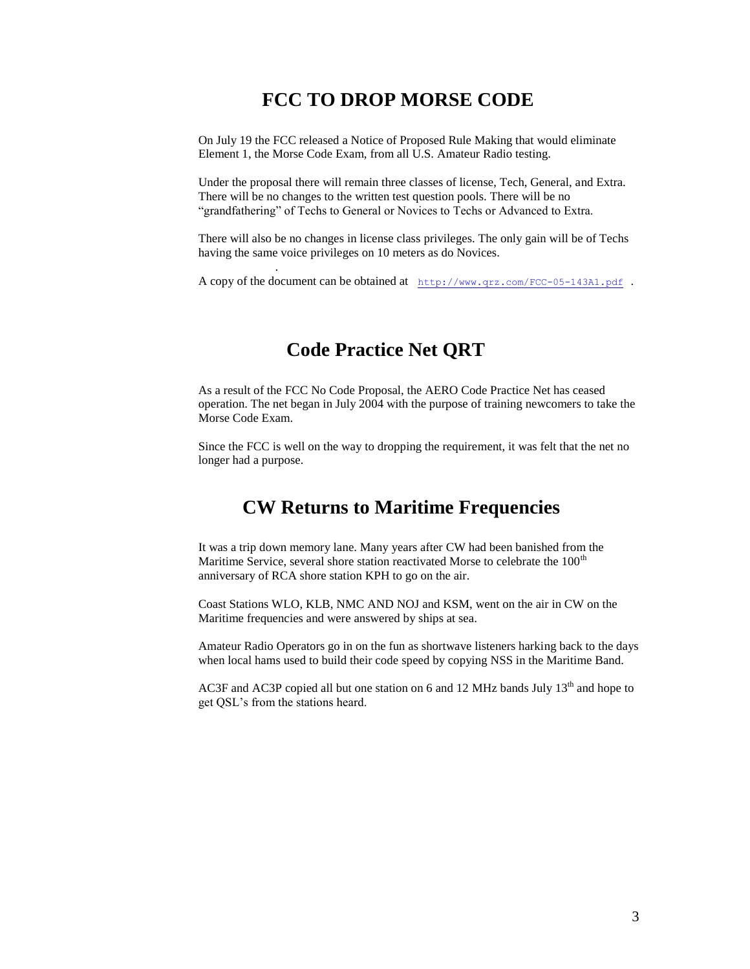## **FCC TO DROP MORSE CODE**

On July 19 the FCC released a Notice of Proposed Rule Making that would eliminate Element 1, the Morse Code Exam, from all U.S. Amateur Radio testing.

Under the proposal there will remain three classes of license, Tech, General, and Extra. There will be no changes to the written test question pools. There will be no "grandfathering" of Techs to General or Novices to Techs or Advanced to Extra.

There will also be no changes in license class privileges. The only gain will be of Techs having the same voice privileges on 10 meters as do Novices.

A copy of the document can be obtained at <http://www.qrz.com/FCC-05-143A1.pdf> .

## **Code Practice Net QRT**

.

As a result of the FCC No Code Proposal, the AERO Code Practice Net has ceased operation. The net began in July 2004 with the purpose of training newcomers to take the Morse Code Exam.

Since the FCC is well on the way to dropping the requirement, it was felt that the net no longer had a purpose.

### **CW Returns to Maritime Frequencies**

It was a trip down memory lane. Many years after CW had been banished from the Maritime Service, several shore station reactivated Morse to celebrate the  $100<sup>th</sup>$ anniversary of RCA shore station KPH to go on the air.

Coast Stations WLO, KLB, NMC AND NOJ and KSM, went on the air in CW on the Maritime frequencies and were answered by ships at sea.

Amateur Radio Operators go in on the fun as shortwave listeners harking back to the days when local hams used to build their code speed by copying NSS in the Maritime Band.

AC3F and AC3P copied all but one station on 6 and 12 MHz bands July  $13<sup>th</sup>$  and hope to get QSL's from the stations heard.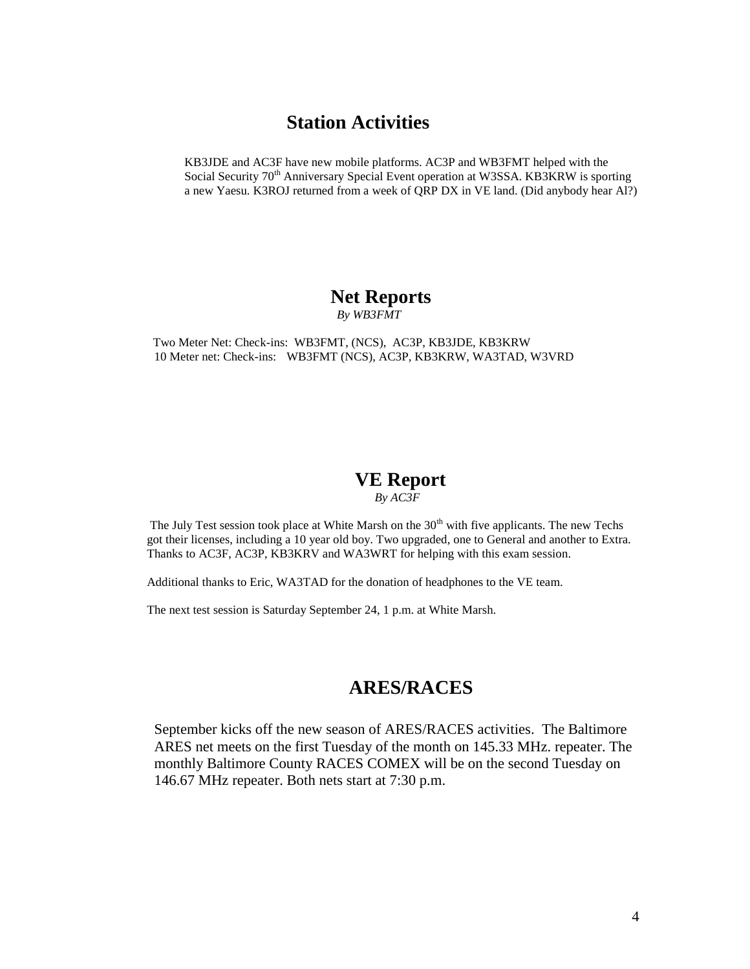### **Station Activities**

KB3JDE and AC3F have new mobile platforms. AC3P and WB3FMT helped with the Social Security 70<sup>th</sup> Anniversary Special Event operation at W3SSA. KB3KRW is sporting a new Yaesu. K3ROJ returned from a week of QRP DX in VE land. (Did anybody hear Al?)

# **Net Reports**

 *By WB3FMT*

 Two Meter Net: Check-ins: WB3FMT, (NCS), AC3P, KB3JDE, KB3KRW 10 Meter net: Check-ins: WB3FMT (NCS), AC3P, KB3KRW, WA3TAD, W3VRD

### **VE Report**

 *By AC3F*

The July Test session took place at White Marsh on the  $30<sup>th</sup>$  with five applicants. The new Techs got their licenses, including a 10 year old boy. Two upgraded, one to General and another to Extra. Thanks to AC3F, AC3P, KB3KRV and WA3WRT for helping with this exam session.

Additional thanks to Eric, WA3TAD for the donation of headphones to the VE team.

The next test session is Saturday September 24, 1 p.m. at White Marsh.

### **ARES/RACES**

September kicks off the new season of ARES/RACES activities. The Baltimore ARES net meets on the first Tuesday of the month on 145.33 MHz. repeater. The monthly Baltimore County RACES COMEX will be on the second Tuesday on 146.67 MHz repeater. Both nets start at 7:30 p.m.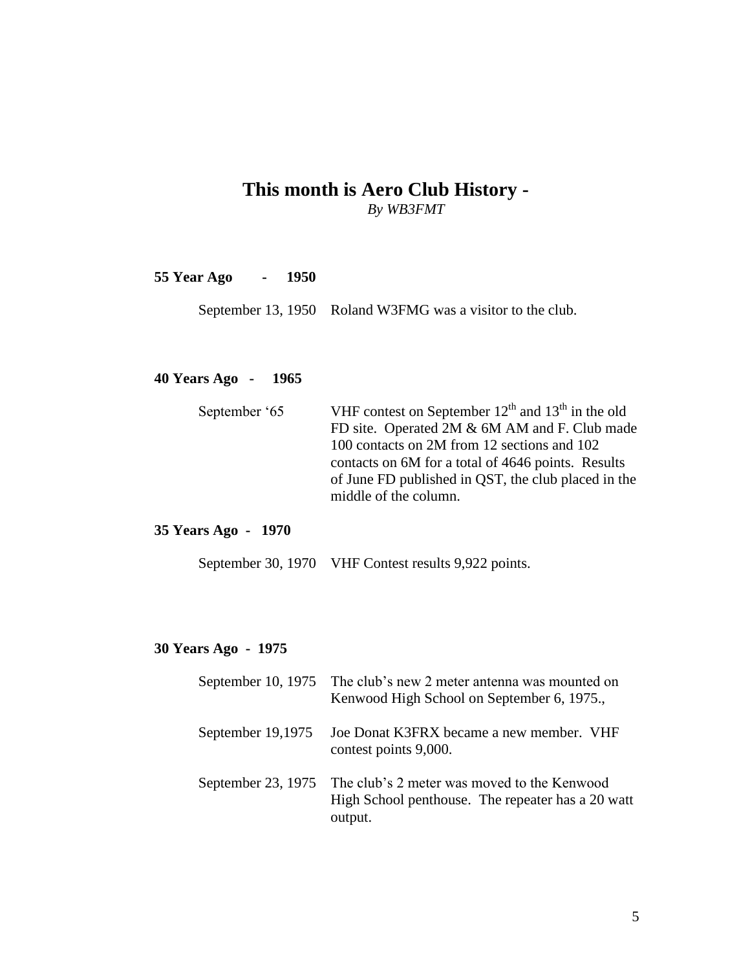### **This month is Aero Club History -** *By WB3FMT*

**55 Year Ago - 1950**

September 13, 1950 Roland W3FMG was a visitor to the club.

### **40 Years Ago - 1965**

| VHF contest on September $12^{th}$ and $13^{th}$ in the old |
|-------------------------------------------------------------|
| FD site. Operated 2M & 6M AM and F. Club made               |
| 100 contacts on 2M from 12 sections and 102                 |
| contacts on 6M for a total of 4646 points. Results          |
| of June FD published in QST, the club placed in the         |
| middle of the column.                                       |
|                                                             |

#### **35 Years Ago - 1970**

September 30, 1970 VHF Contest results 9,922 points.

#### **30 Years Ago - 1975**

|                   | September 10, 1975 The club's new 2 meter antenna was mounted on<br>Kenwood High School on September 6, 1975.,                 |
|-------------------|--------------------------------------------------------------------------------------------------------------------------------|
| September 19,1975 | Joe Donat K3FRX became a new member. VHF<br>contest points 9,000.                                                              |
|                   | September 23, 1975 The club's 2 meter was moved to the Kenwood<br>High School penthouse. The repeater has a 20 watt<br>output. |